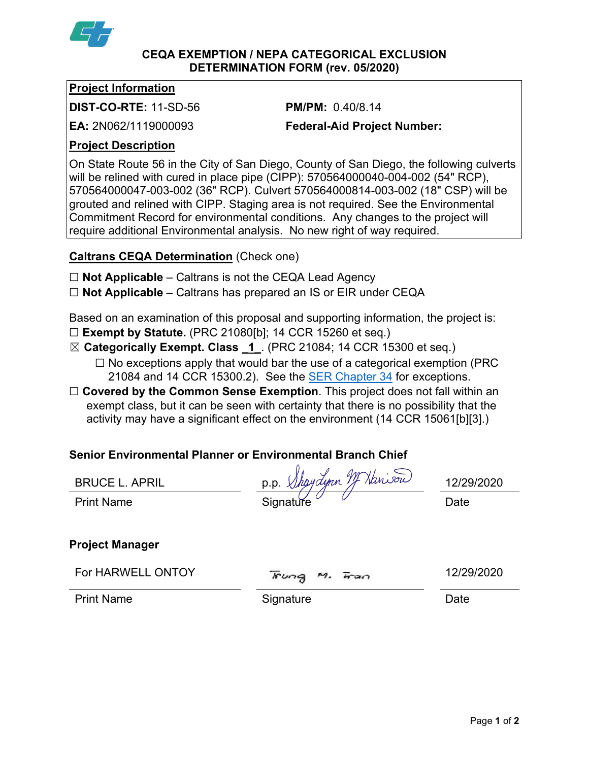

### **CEQA EXEMPTION / NEPA CATEGORICAL EXCLUSION DETERMINATION FORM (rev. 05/2020)**

### **Project Information**

**DIST-CO-RTE:** 11-SD-56 **PM/PM:** 0.40/8.14

**EA:** 2N062/1119000093 **Federal-Aid Project Number:**

# **Project Description**

On State Route 56 in the City of San Diego, County of San Diego, the following culverts will be relined with cured in place pipe (CIPP): 570564000040-004-002 (54" RCP), 570564000047-003-002 (36" RCP). Culvert 570564000814-003-002 (18" CSP) will be grouted and relined with CIPP. Staging area is not required. See the Environmental Commitment Record for environmental conditions. Any changes to the project will require additional Environmental analysis. No new right of way required.

# **Caltrans CEQA Determination** (Check one)

- ☐ **Not Applicable** Caltrans is not the CEQA Lead Agency
- ☐ **Not Applicable** Caltrans has prepared an IS or EIR under CEQA

Based on an examination of this proposal and supporting information, the project is:

- ☐ **Exempt by Statute.** (PRC 21080[b]; 14 CCR 15260 et seq.)
- ☒ **Categorically Exempt. Class \_1\_**. (PRC 21084; 14 CCR 15300 et seq.)
	- $\Box$  No exceptions apply that would bar the use of a categorical exemption (PRC) 21084 and 14 CCR 15300.2). See the [SER Chapter 34](https://dot.ca.gov/programs/environmental-analysis/standard-environmental-reference-ser/volume-1-guidance-for-compliance/ch-34-exemptions-to-ceqa#except) for exceptions.
- □ **Covered by the Common Sense Exemption**. This project does not fall within an exempt class, but it can be seen with certainty that there is no possibility that the activity may have a significant effect on the environment (14 CCR 15061[b][3].)

# **Senior Environmental Planner or Environmental Branch Chief**

BRUCE L. APRIL  $p.p. \not\!\!\!\!\!\downarrow$  haydynn  $\not\!\!\!\!\!\downarrow$  hansour  $\rho_1$  12/29/2020 Print Name Signature Date

# **Project Manager**

| For HARWELL ONTOY |
|-------------------|
|-------------------|

For HARWELL ONTOY  $\overline{x}$ ung M.  $\overline{x}$ an 12/29/2020

Print Name **Signature Date**